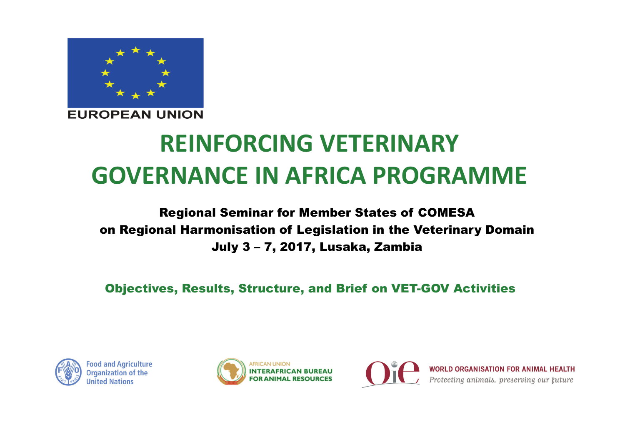

**EUROPEAN UNION** 

# **REINFORCING VETERINARY GOVERNANCE IN AFRICA PROGRAMME**

#### Regional Seminar for Member States of COMESA on Regional Harmonisation of Legislation in the Veterinary Domain July 3 – 7, 2017, Lusaka, Zambia

Objectives, Results, Structure, and Brief on VET-GOV Activities



**Food and Agriculture Organization of the United Nations** 





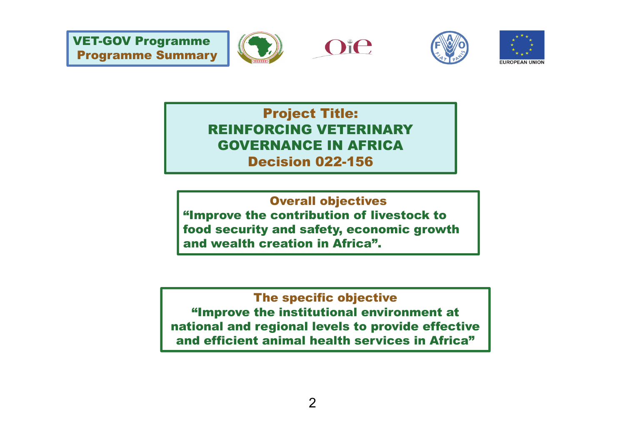







Project Title: REINFORCING VETERINARY GOVERNANCE IN AFRICA Decision 022-156

Overall objectives "Improve the contribution of livestock to food security and safety, economic growth and wealth creation in Africa".

#### The specific objective

"Improve the institutional environment at national and regional levels to provide effective and efficient animal health services in Africa"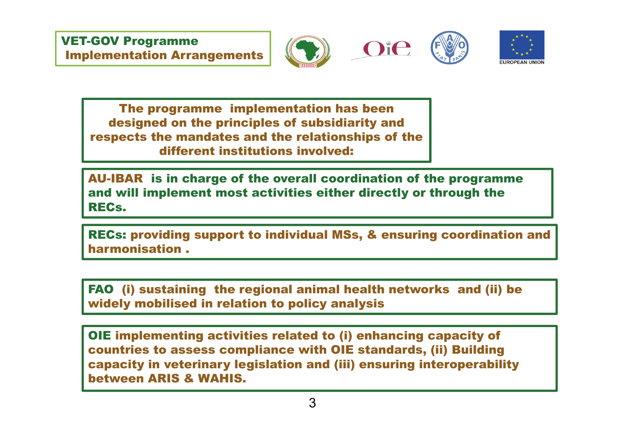





The programme implementation has been designed on the principles of subsidiarity and respects the mandates and the relationships of the different institutions involved:

AU-IBAR is in charge of the overall coordination of the programme and will implement most activities either directly or through the RECs.

RECs: providing support to individual MSs, & ensuring coordination and harmonisation .

FAO (i) sustaining the regional animal health networks and (ii) be widely mobilised in relation to policy analysis

OIE implementing activities related to (i) enhancing capacity of countries to assess compliance with OIE standards, (ii) Building capacity in veterinary legislation and (iii) ensuring interoperability between ARIS & WAHIS.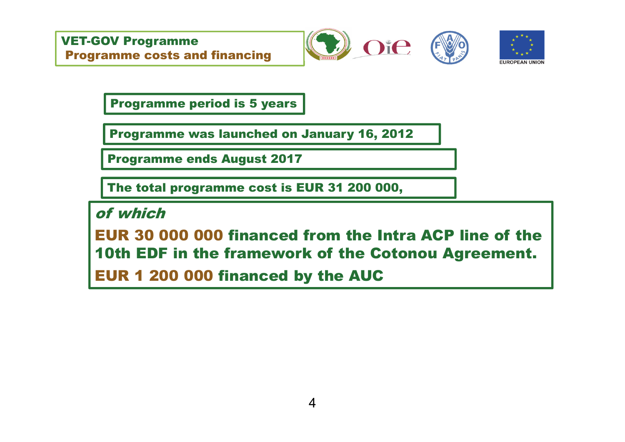







Programme period is 5 years

Programme was launched on January 16, 2012

Programme ends August 2017

The total programme cost is EUR 31 200 000,

of which

EUR 30 000 000 financed from the Intra ACP line of the 10th EDF in the framework of the Cotonou Agreement.

EUR 1 200 000 financed by the AUC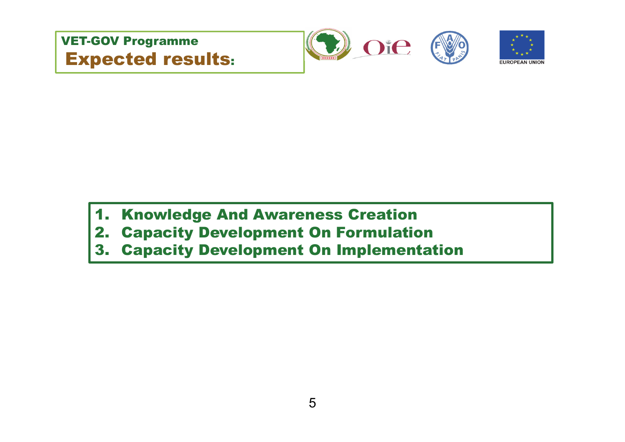







# 1. Knowledge And Awareness Creation

- 2. Capacity Development On Formulation
- 3. Capacity Development On Implementation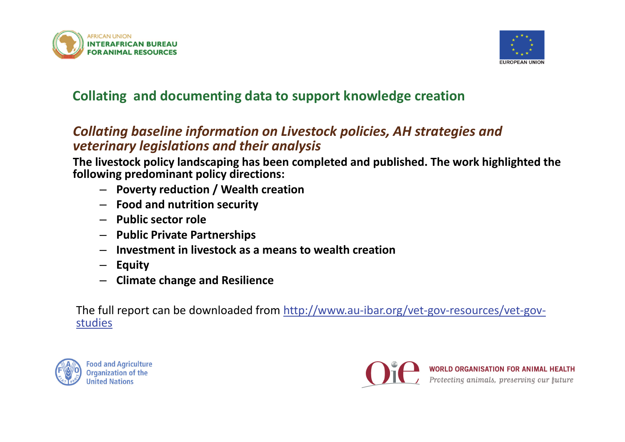



#### **Collating and documenting data to support knowledge creation**

#### *Collating baseline information on Livestock policies, AH strategies and veterinary legislations and their analysis*

**The livestock policy landscaping has been completed and published. The work highlighted the following predominant policy directions:**

- **Poverty reduction / Wealth creation**
- **Food and nutrition security**
- **Public sector role**
- **Public Private Partnerships**
- –**Investment in livestock as a means to wealth creation**
- **Equity**
- **Climate change and Resilience**

The full report can be downloaded from http://www.au-ibar.org/vet-gov-resources/vet-govstudies



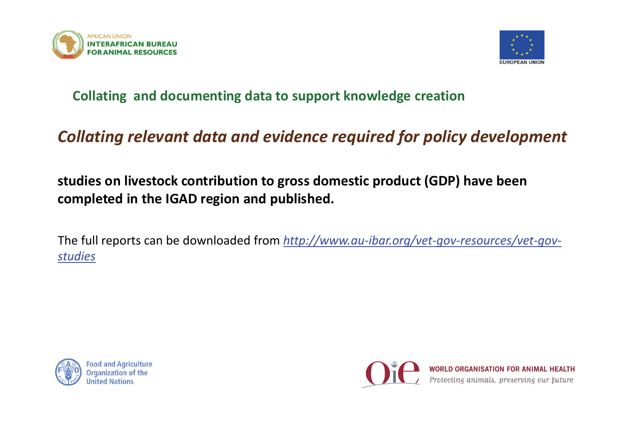



#### **Collating and documenting data to support knowledge creation**

# *Collating relevant data and evidence required for policy development*

**studies on livestock contribution to gross domestic product (GDP) have been completed in the IGAD region and published.**

The full reports can be downloaded from *http://www.au-ibar.org/vet-gov-resources/vet-govstudies*



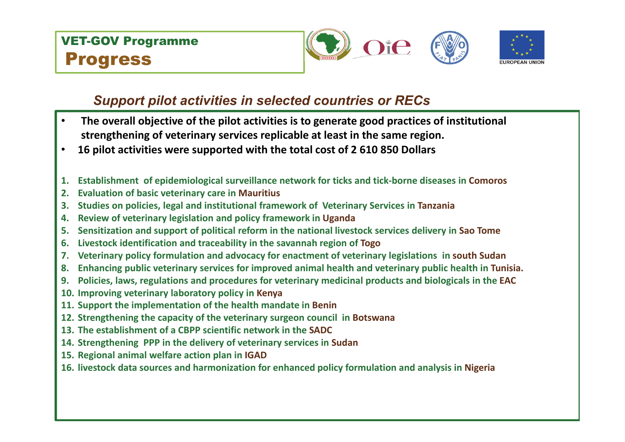



#### *Support pilot activities in selected countries or RECs*

- • **The overall objective of the pilot activities is to generate good practices of institutional strengthening of veterinary services replicable at least in the same region.**
- •**16 pilot activities were supported with the total cost of 2 610 850 Dollars**
- **1. Establishment of epidemiological surveillance network for ticks and tick-borne diseases in Comoros**
- **2. Evaluation of basic veterinary care in Mauritius**
- **3. Studies on policies, legal and institutional framework of Veterinary Services in Tanzania**
- **4. Review of veterinary legislation and policy framework in Uganda**
- **5. Sensitization and support of political reform in the national livestock services delivery in Sao Tome**
- **6. Livestock identification and traceability in the savannah region of Togo**
- **7. Veterinary policy formulation and advocacy for enactment of veterinary legislations in south Sudan**
- **8. Enhancing public veterinary services for improved animal health and veterinary public health in Tunisia.**
- **9. Policies, laws, regulations and procedures for veterinary medicinal products and biologicals in the EAC**
- **10. Improving veterinary laboratory policy in Kenya**
- **11. Support the implementation of the health mandate in Benin**
- **12. Strengthening the capacity of the veterinary surgeon council in Botswana**
- **13. The establishment of a CBPP scientific network in the SADC**
- **14. Strengthening PPP in the delivery of veterinary services in Sudan**
- **15. Regional animal welfare action plan in IGAD**
- **16. livestock data sources and harmonization for enhanced policy formulation and analysis in Nigeria**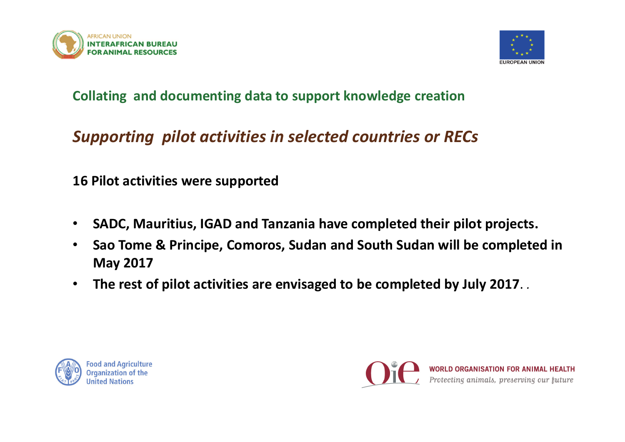



#### **Collating and documenting data to support knowledge creation**

# *Supporting pilot activities in selected countries or RECs*

**16 Pilot activities were supported** 

- $\bullet$ **SADC, Mauritius, IGAD and Tanzania have completed their pilot projects.**
- $\bullet$  **Sao Tome & Principe, Comoros, Sudan and South Sudan will be completed in May 2017**
- $\bullet$ **The rest of pilot activities are envisaged to be completed by July 2017**. *.*



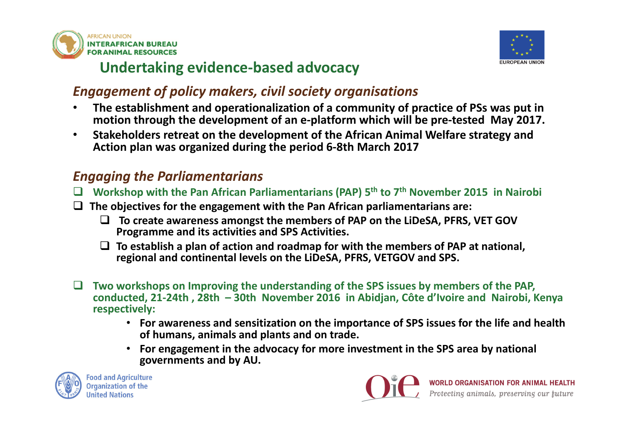



## **Undertaking evidence-based advocacy**

#### *Engagement of policy makers, civil society organisations*

- • **The establishment and operationalization of a community of practice of PSs was put in motion through the development of an e-platform which will be pre-tested May 2017.**
- • **Stakeholders retreat on the development of the African Animal Welfare strategy and Action plan was organized during the period 6-8th March 2017**

#### *Engaging the Parliamentarians*

- $\Box$ **Workshop with the Pan African Parliamentarians (PAP) 5th to 7th November 2015 in Nairobi**
- **The objectives for the engagement with the Pan African parliamentarians are:**
	- **To create awareness amongst the members of PAP on the LiDeSA, PFRS, VET GOV Programme and its activities and SPS Activities.**
	- **To establish a plan of action and roadmap for with the members of PAP at national, regional and continental levels on the LiDeSA, PFRS, VETGOV and SPS.**
- $\Box$  **Two workshops on Improving the understanding of the SPS issues by members of the PAP, conducted, 21-24th , 28th – 30th November 2016 in Abidjan, Côte d'Ivoire and Nairobi, Kenya respectively:**
	- **For awareness and sensitization on the importance of SPS issues for the life and health of humans, animals and plants and on trade.**
	- **For engagement in the advocacy for more investment in the SPS area by national governments and by AU.**



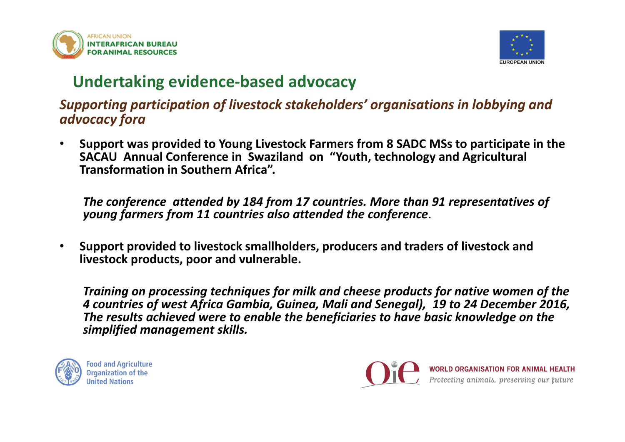



# **Undertaking evidence-based advocacy**

*Supporting participation of livestock stakeholders' organisations in lobbying and advocacy fora* 

• **Support was provided to Young Livestock Farmers from 8 SADC MSs to participate in the SACAU Annual Conference in Swaziland on "Youth, technology and Agricultural Transformation in Southern Africa".** 

*The conference attended by 184 from 17 countries. More than 91 representatives of young farmers from 11 countries also attended the conference*.

• **Support provided to livestock smallholders, producers and traders of livestock and livestock products, poor and vulnerable.** 

*Training on processing techniques for milk and cheese products for native women of the 4 countries of west Africa Gambia, Guinea, Mali and Senegal), 19 to 24 December 2016, The results achieved were to enable the beneficiaries to have basic knowledge on the simplified management skills.* 



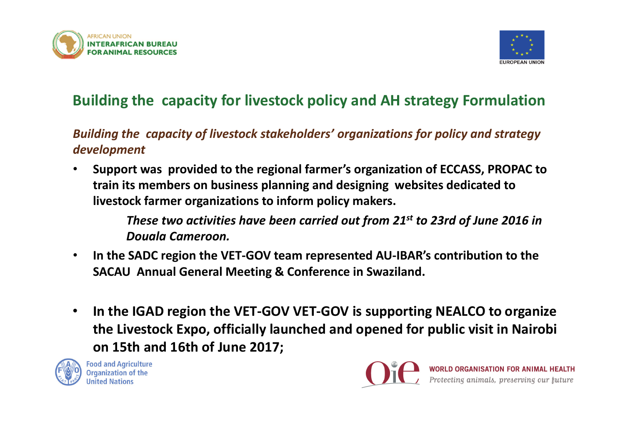



# **Building the capacity for livestock policy and AH strategy Formulation**

*Building the capacity of livestock stakeholders' organizations for policy and strategy development*

• **Support was provided to the regional farmer's organization of ECCASS, PROPAC to train its members on business planning and designing websites dedicated to livestock farmer organizations to inform policy makers.**

> *These two activities have been carried out from 21st to 23rd of June 2016 in Douala Cameroon.*

- $\bullet$  **In the SADC region the VET-GOV team represented AU-IBAR's contribution to the SACAU Annual General Meeting & Conference in Swaziland.**
- $\bullet$  **In the IGAD region the VET-GOV VET-GOV is supporting NEALCO to organize the Livestock Expo, officially launched and opened for public visit in Nairobi on 15th and 16th of June 2017;**



**Food and Agriculture Organization of the Jnited Nations** 

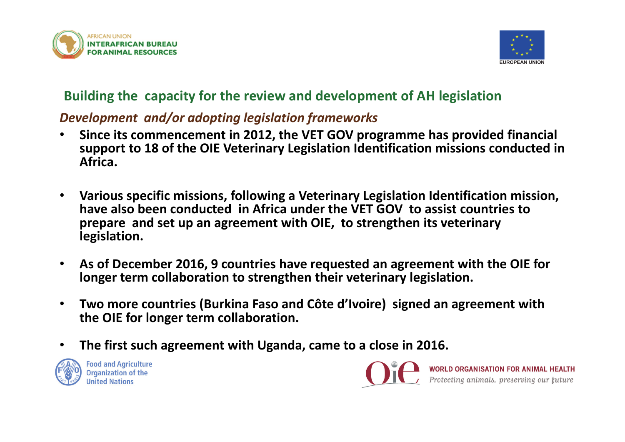



#### **Building the capacity for the review and development of AH legislation**

#### *Development and/or adopting legislation frameworks*

- • **Since its commencement in 2012, the VET GOV programme has provided financial support to 18 of the OIE Veterinary Legislation Identification missions conducted in Africa.**
- • **Various specific missions, following a Veterinary Legislation Identification mission, have also been conducted in Africa under the VET GOV to assist countries to prepare and set up an agreement with OIE, to strengthen its veterinary legislation.**
- • **As of December 2016, 9 countries have requested an agreement with the OIE for longer term collaboration to strengthen their veterinary legislation.**
- • **Two more countries (Burkina Faso and Côte d'Ivoire) signed an agreement with the OIE for longer term collaboration.**
- •**The first such agreement with Uganda, came to a close in 2016.**



**Food and Agriculture Organization of the** 

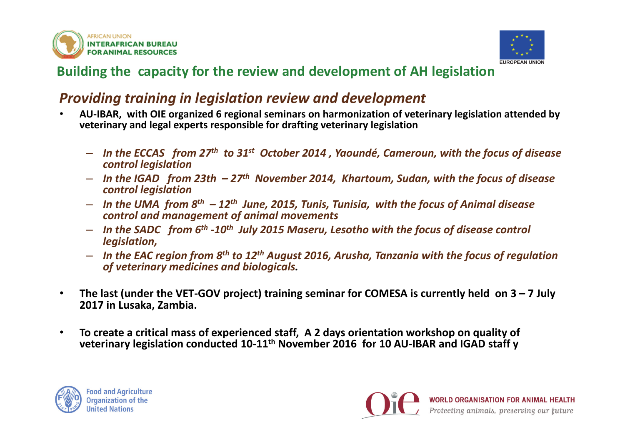



#### **Building the capacity for the review and development of AH legislation**

#### *Providing training in legislation review and development*

- • **AU-IBAR, with OIE organized 6 regional seminars on harmonization of veterinary legislation attended by veterinary and legal experts responsible for drafting veterinary legislation**
	- *In the ECCAS from 27th to 31st October 2014 , Yaoundé, Cameroun, with the focus of disease control legislation*
	- *In the IGAD from 23th – 27th November 2014, Khartoum, Sudan, with the focus of disease control legislation*
	- *In the UMA from 8th – 12th June, 2015, Tunis, Tunisia, with the focus of Animal disease control and management of animal movements*
	- *In the SADC from 6th -10th July 2015 Maseru, Lesotho with the focus of disease control legislation,*
	- *In the EAC region from 8th to 12th August 2016, Arusha, Tanzania with the focus of regulation of veterinary medicines and biologicals.*
- • **The last (under the VET-GOV project) training seminar for COMESA is currently held on 3 – 7 July 2017 in Lusaka, Zambia.**
- • **To create a critical mass of experienced staff, A 2 days orientation workshop on quality of veterinary legislation conducted 10-11th November 2016 for 10 AU-IBAR and IGAD staff y**



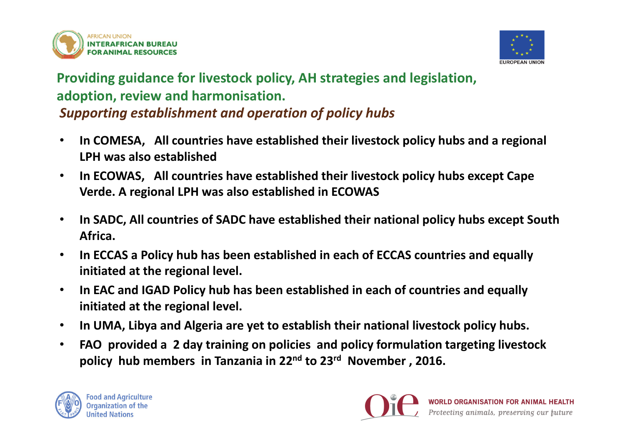



#### **Providing guidance for livestock policy, AH strategies and legislation, adoption, review and harmonisation.** *Supporting establishment and operation of policy hubs*

- • **In COMESA, All countries have established their livestock policy hubs and a regional LPH was also established**
- • **In ECOWAS, All countries have established their livestock policy hubs except Cape Verde. A regional LPH was also established in ECOWAS**
- • **In SADC, All countries of SADC have established their national policy hubs except South Africa.**
- • **In ECCAS a Policy hub has been established in each of ECCAS countries and equally initiated at the regional level.**
- • **In EAC and IGAD Policy hub has been established in each of countries and equally initiated at the regional level.**
- •**In UMA, Libya and Algeria are yet to establish their national livestock policy hubs.**
- • **FAO provided a 2 day training on policies and policy formulation targeting livestock policy hub members in Tanzania in 22nd to 23r<sup>d</sup> November , 2016.**



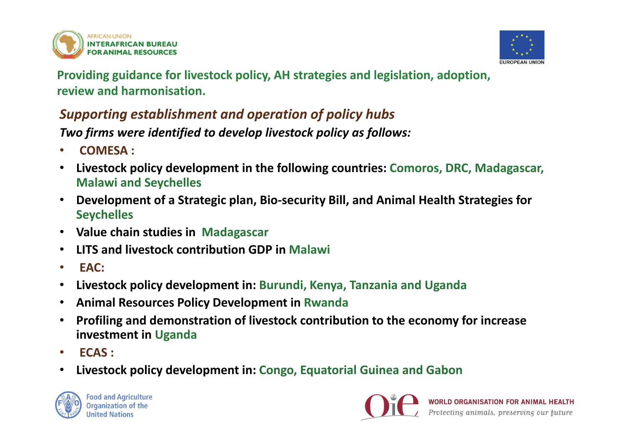



**Providing guidance for livestock policy, AH strategies and legislation, adoption, review and harmonisation.**

### *Supporting establishment and operation of policy hubs*

*Two firms were identified to develop livestock policy as follows:*

- •**COMESA :**
- $\bullet$  **Livestock policy development in the following countries: Comoros, DRC, Madagascar, Malawi and Seychelles**
- **Development of a Strategic plan, Bio-security Bill, and Animal Health Strategies for Seychelles**
- **Value chain studies in Madagascar**
- **LITS and livestock contribution GDP in Malawi**
- •**EAC:**
- $\bullet$ **Livestock policy development in: Burundi, Kenya, Tanzania and Uganda**
- •**Animal Resources Policy Development in Rwanda**
- • **Profiling and demonstration of livestock contribution to the economy for increase investment in Uganda**
- •**ECAS :**
- $\bullet$ **Livestock policy development in: Congo, Equatorial Guinea and Gabon**



**Food and Agriculture Organization of the United Nations** 

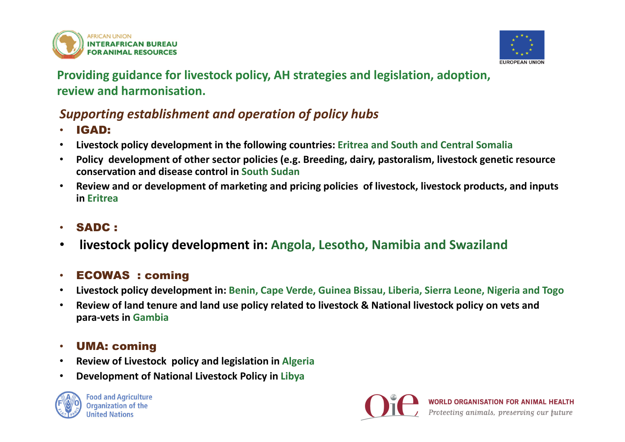



**Providing guidance for livestock policy, AH strategies and legislation, adoption, review and harmonisation.**

#### *Supporting establishment and operation of policy hubs*

- •IGAD:
- $\bullet$ **Livestock policy development in the following countries: Eritrea and South and Central Somalia**
- • **Policy development of other sector policies (e.g. Breeding, dairy, pastoralism, livestock genetic resource conservation and disease control in South Sudan**
- • **Review and or development of marketing and pricing policies of livestock, livestock products, and inputs in Eritrea**

#### • SADC :

•**livestock policy development in: Angola, Lesotho, Namibia and Swaziland** 

#### •ECOWAS : coming

- •**Livestock policy development in: Benin, Cape Verde, Guinea Bissau, Liberia, Sierra Leone, Nigeria and Togo**
- $\bullet$  **Review of land tenure and land use policy related to livestock & National livestock policy on vets and para-vets in Gambia**

#### •UMA: coming

- $\bullet$ **Review of Livestock policy and legislation in Algeria**
- •**Development of National Livestock Policy in Libya**



**Food and Agriculture Organization of the United Nations** 

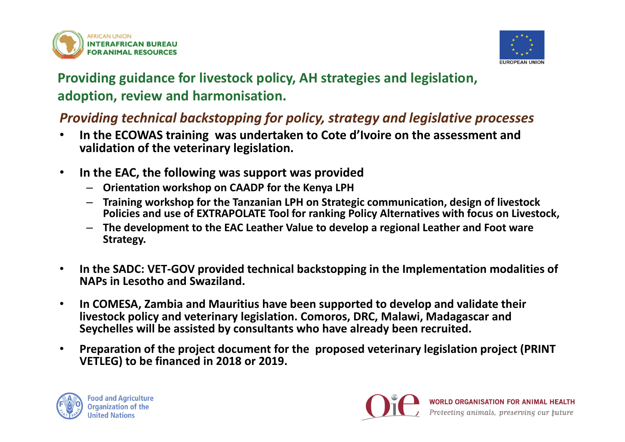



### **Providing guidance for livestock policy, AH strategies and legislation, adoption, review and harmonisation.**

#### *Providing technical backstopping for policy, strategy and legislative processes*

- • **In the ECOWAS training was undertaken to Cote d'Ivoire on the assessment and validation of the veterinary legislation.**
- • **In the EAC, the following was support was provided** 
	- **Orientation workshop on CAADP for the Kenya LPH**
	- **Training workshop for the Tanzanian LPH on Strategic communication, design of livestock Policies and use of EXTRAPOLATE Tool for ranking Policy Alternatives with focus on Livestock,**
	- **The development to the EAC Leather Value to develop a regional Leather and Foot ware Strategy.**
- $\bullet$  **In the SADC: VET-GOV provided technical backstopping in the Implementation modalities of NAPs in Lesotho and Swaziland.**
- • **In COMESA, Zambia and Mauritius have been supported to develop and validate their livestock policy and veterinary legislation. Comoros, DRC, Malawi, Madagascar and Seychelles will be assisted by consultants who have already been recruited.**
- • **Preparation of the project document for the proposed veterinary legislation project (PRINT VETLEG) to be financed in 2018 or 2019.**



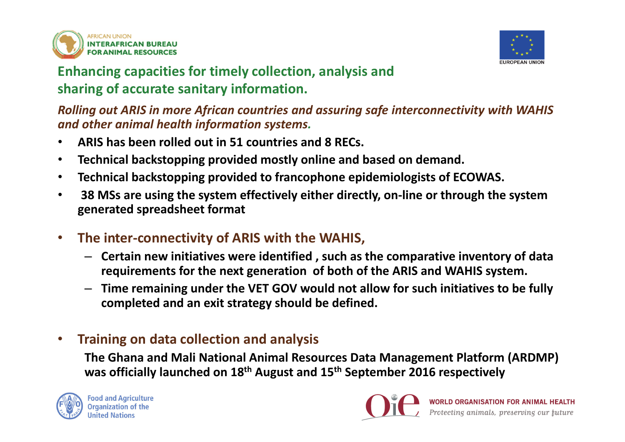



### **Enhancing capacities for timely collection, analysis and sharing of accurate sanitary information.**

*Rolling out ARIS in more African countries and assuring safe interconnectivity with WAHIS and other animal health information systems.*

- •**ARIS has been rolled out in 51 countries and 8 RECs.**
- •**Technical backstopping provided mostly online and based on demand.**
- $\bullet$ **Technical backstopping provided to francophone epidemiologists of ECOWAS.**
- $\bullet$  **38 MSs are using the system effectively either directly, on-line or through the system generated spreadsheet format**
- $\bullet$  **The inter-connectivity of ARIS with the WAHIS,** 
	- **Certain new initiatives were identified , such as the comparative inventory of data requirements for the next generation of both of the ARIS and WAHIS system.**
	- **Time remaining under the VET GOV would not allow for such initiatives to be fully completed and an exit strategy should be defined.**

#### •**Training on data collection and analysis**

**The Ghana and Mali National Animal Resources Data Management Platform (ARDMP) was officially launched on 18th August and 15th September 2016 respectively**



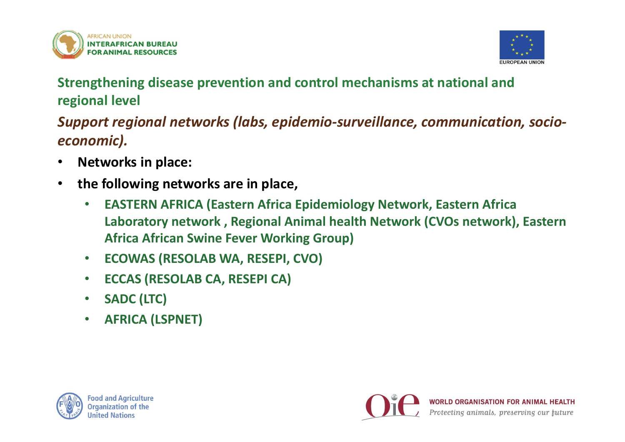



**Strengthening disease prevention and control mechanisms at national and regional level**

*Support regional networks (labs, epidemio-surveillance, communication, socioeconomic).*

- •**Networks in place:**
- • **the following networks are in place,**
	- • **EASTERN AFRICA (Eastern Africa Epidemiology Network, Eastern Africa Laboratory network , Regional Animal health Network (CVOs network), Eastern Africa African Swine Fever Working Group)**
	- $\bullet$ **ECOWAS (RESOLAB WA, RESEPI, CVO)**
	- •**ECCAS (RESOLAB CA, RESEPI CA)**
	- •**SADC (LTC)**
	- •**AFRICA (LSPNET)**



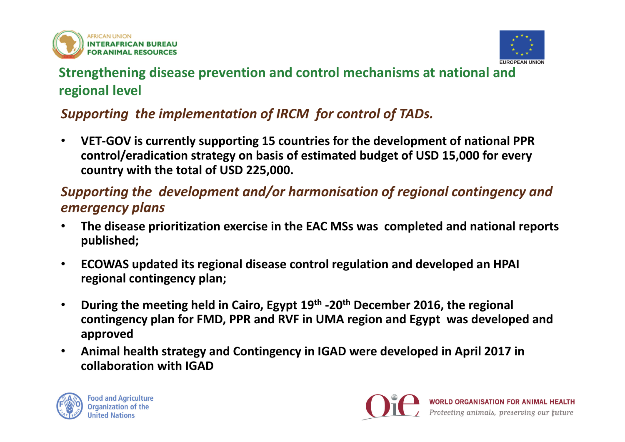



### **Strengthening disease prevention and control mechanisms at national and regional level**

### *Supporting the implementation of IRCM for control of TADs.*

 $\bullet$  **VET-GOV is currently supporting 15 countries for the development of national PPR control/eradication strategy on basis of estimated budget of USD 15,000 for every country with the total of USD 225,000.**

#### *Supporting the development and/or harmonisation of regional contingency and emergency plans*

- • **The disease prioritization exercise in the EAC MSs was completed and national reports published;**
- $\bullet$  **ECOWAS updated its regional disease control regulation and developed an HPAI regional contingency plan;**
- $\bullet$  **During the meeting held in Cairo, Egypt 19th -20th December 2016, the regional contingency plan for FMD, PPR and RVF in UMA region and Egypt was developed and approved**
- $\bullet$  **Animal health strategy and Contingency in IGAD were developed in April 2017 in collaboration with IGAD**



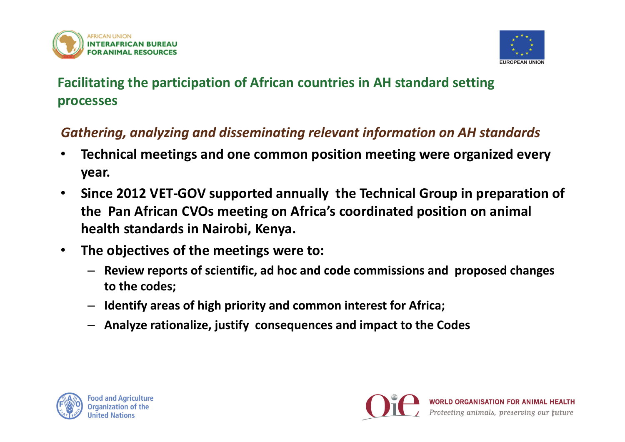



## **Facilitating the participation of African countries in AH standard setting processes**

#### *Gathering, analyzing and disseminating relevant information on AH standards*

- • **Technical meetings and one common position meeting were organized every year.**
- $\bullet$  **Since 2012 VET-GOV supported annually the Technical Group in preparation of the Pan African CVOs meeting on Africa's coordinated position on animal health standards in Nairobi, Kenya.**
- • **The objectives of the meetings were to:**
	- **Review reports of scientific, ad hoc and code commissions and proposed changes to the codes;**
	- –**Identify areas of high priority and common interest for Africa;**
	- **Analyze rationalize, justify consequences and impact to the Codes**



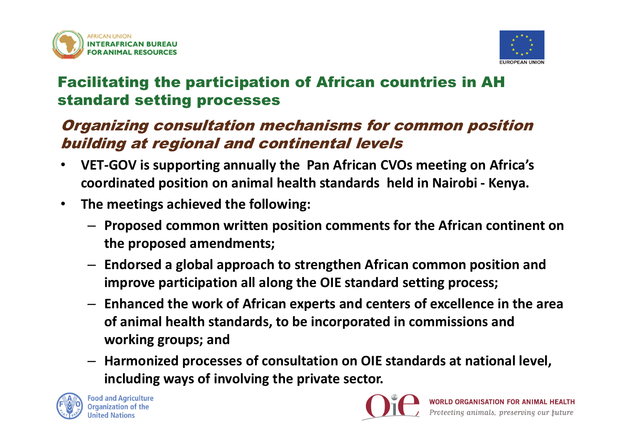



# Facilitating the participation of African countries in AH standard setting processes

## Organizing consultation mechanisms for common position building at regional and continental levels

- $\bullet$  **VET-GOV is supporting annually the Pan African CVOs meeting on Africa's coordinated position on animal health standards held in Nairobi - Kenya.**
- • **The meetings achieved the following:**
	- **Proposed common written position comments for the African continent on the proposed amendments;**
	- **Endorsed a global approach to strengthen African common position and improve participation all along the OIE standard setting process;**
	- **Enhanced the work of African experts and centers of excellence in the area of animal health standards, to be incorporated in commissions and working groups; and**
	- **Harmonized processes of consultation on OIE standards at national level, including ways of involving the private sector.**



**Food and Agriculture Organization of the United Nations** 

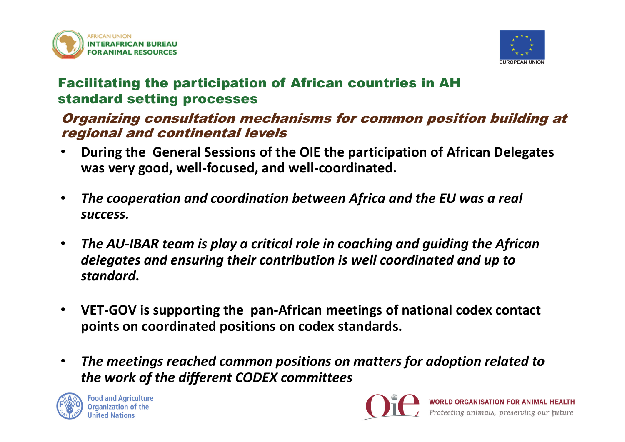



#### Facilitating the participation of African countries in AH standard setting processes

#### Organizing consultation mechanisms for common position building at regional and continental levels

- $\bullet$  **During the General Sessions of the OIE the participation of African Delegates was very good, well-focused, and well-coordinated.**
- $\bullet$  *The cooperation and coordination between Africa and the EU was a real success.*
- • *The AU-IBAR team is play a critical role in coaching and guiding the African delegates and ensuring their contribution is well coordinated and up to standard***.**
- $\bullet$  **VET-GOV is supporting the pan-African meetings of national codex contact points on coordinated positions on codex standards.**
- • *The meetings reached common positions on matters for adoption related to the work of the different CODEX committees*



**Food and Agriculture Organization of the United Nations** 

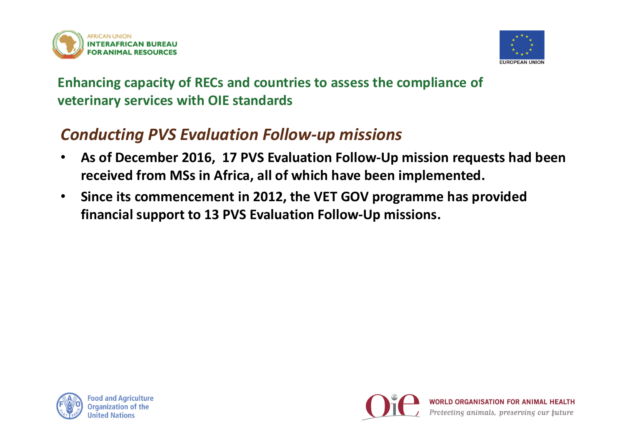



# *Conducting PVS Evaluation Follow-up missions*

- $\bullet$  **As of December 2016, 17 PVS Evaluation Follow-Up mission requests had been received from MSs in Africa, all of which have been implemented.**
- • **Since its commencement in 2012, the VET GOV programme has provided financial support to 13 PVS Evaluation Follow-Up missions.**



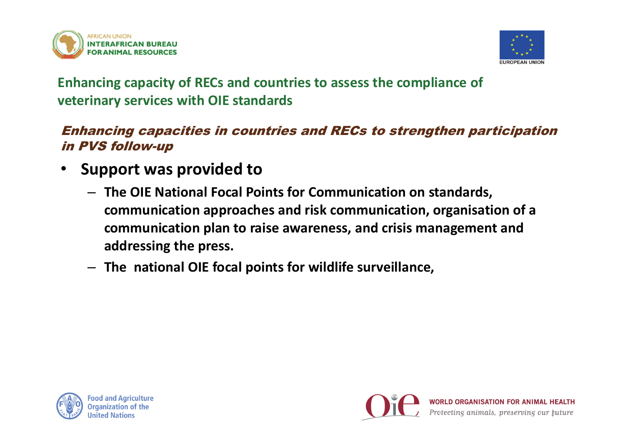



#### Enhancing capacities in countries and RECs to strengthen participation in PVS follow-up

- • **Support was provided to** 
	- **The OIE National Focal Points for Communication on standards, communication approaches and risk communication, organisation of a communication plan to raise awareness, and crisis management and addressing the press.**
	- **The national OIE focal points for wildlife surveillance,**



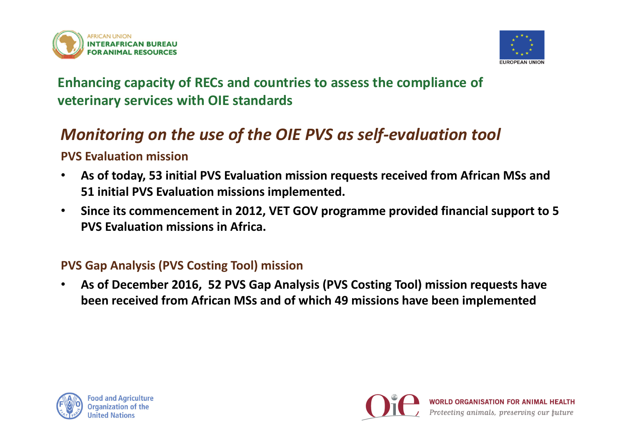



# *Monitoring on the use of the OIE PVS as self-evaluation tool*

#### **PVS Evaluation mission**

- $\bullet$  **As of today, 53 initial PVS Evaluation mission requests received from African MSs and 51 initial PVS Evaluation missions implemented.**
- $\bullet$  **Since its commencement in 2012, VET GOV programme provided financial support to 5 PVS Evaluation missions in Africa.**

#### **PVS Gap Analysis (PVS Costing Tool) mission**

• **As of December 2016, 52 PVS Gap Analysis (PVS Costing Tool) mission requests have been received from African MSs and of which 49 missions have been implemented**



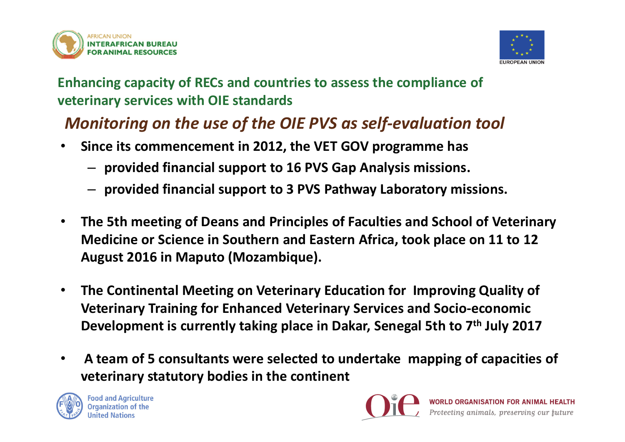



# *Monitoring on the use of the OIE PVS as self-evaluation tool*

- $\bullet$  **Since its commencement in 2012, the VET GOV programme has** 
	- **provided financial support to 16 PVS Gap Analysis missions.**
	- **provided financial support to 3 PVS Pathway Laboratory missions.**
- $\bullet$  **The 5th meeting of Deans and Principles of Faculties and School of Veterinary Medicine or Science in Southern and Eastern Africa, took place on 11 to 12 August 2016 in Maputo (Mozambique).**
- • **The Continental Meeting on Veterinary Education for Improving Quality of Veterinary Training for Enhanced Veterinary Services and Socio-economic Development is currently taking place in Dakar, Senegal 5th to 7th July 2017**
- $\bullet$  **A team of 5 consultants were selected to undertake mapping of capacities of veterinary statutory bodies in the continent**



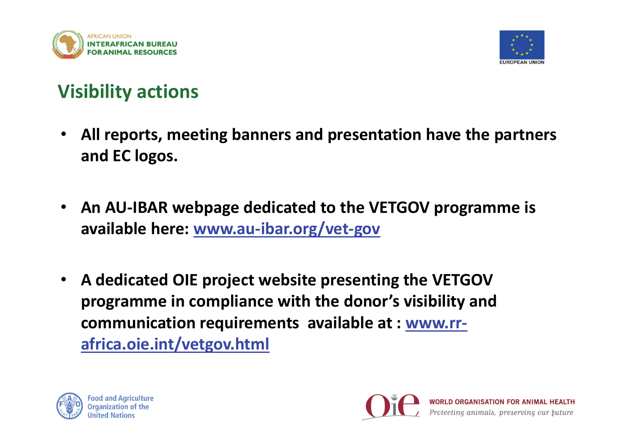



# **Visibility actions**

- • **All reports, meeting banners and presentation have the partners and EC logos.**
- **An AU-IBAR webpage dedicated to the VETGOV programme is available here: www.au-ibar.org/vet-gov**
- $\bullet$  **A dedicated OIE project website presenting the VETGOV programme in compliance with the donor's visibility and communication requirements available at : www.rrafrica.oie.int/vetgov.html**



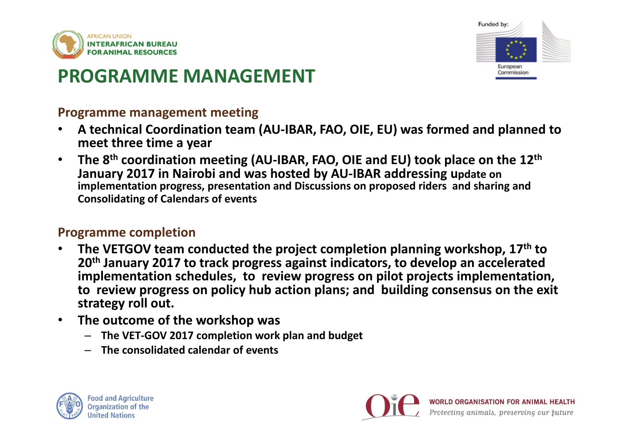



# **PROGRAMME MANAGEMENT**

#### **Programme management meeting**

- • **A technical Coordination team (AU-IBAR, FAO, OIE, EU) was formed and planned to meet three time a year**
- • **The 8th coordination meeting (AU-IBAR, FAO, OIE and EU) took place on the 12th January 2017 in Nairobi and was hosted by AU-IBAR addressing update on implementation progress, presentation and Discussions on proposed riders and sharing and Consolidating of Calendars of events**

#### **Programme completion**

- • **The VETGOV team conducted the project completion planning workshop, 17th to 20th January 2017 to track progress against indicators, to develop an accelerated implementation schedules, to review progress on pilot projects implementation, to review progress on policy hub action plans; and building consensus on the exit strategy roll out.**
- • **The outcome of the workshop was**
	- **The VET-GOV 2017 completion work plan and budget**
	- **The consolidated calendar of events**